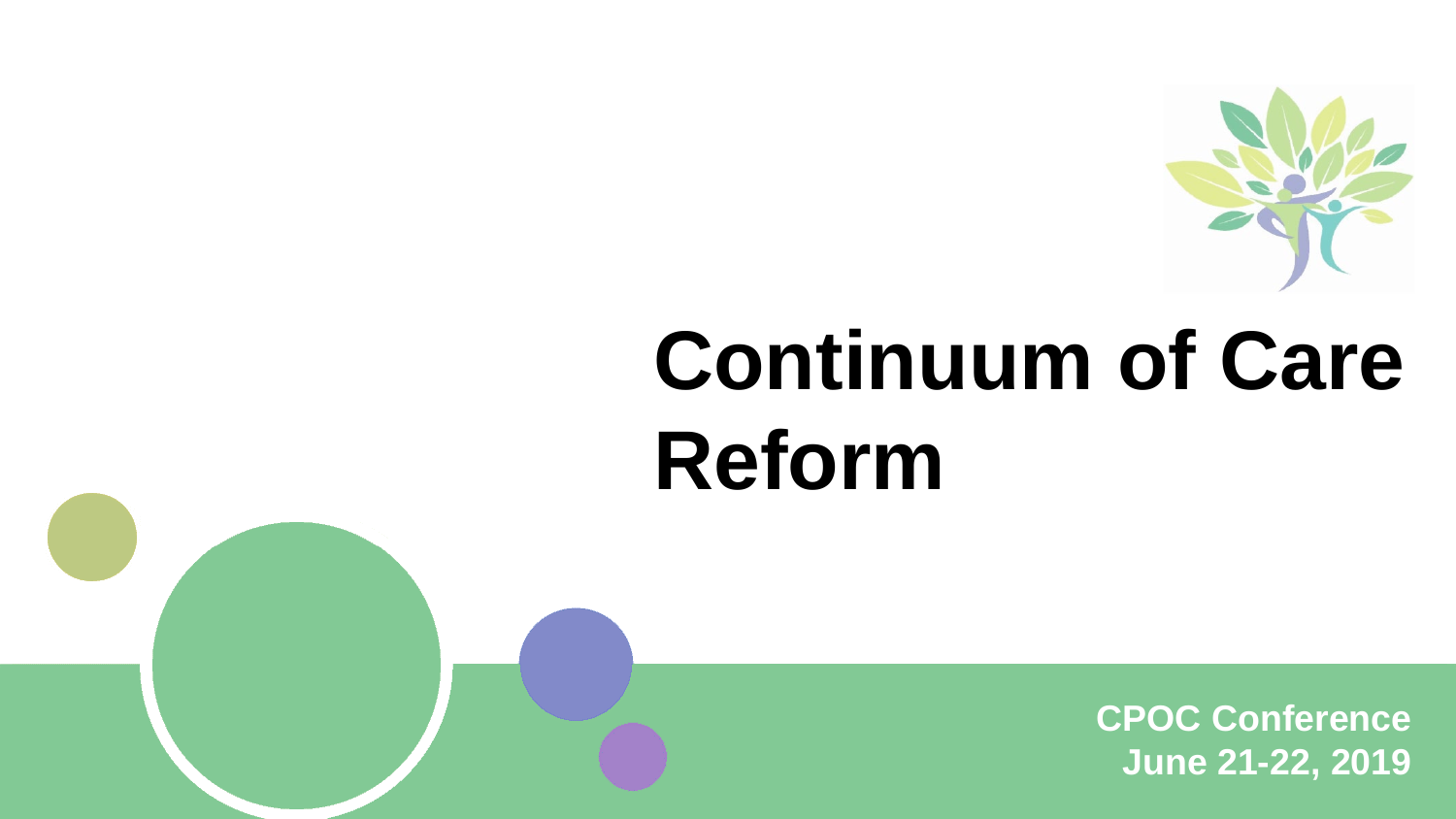

# **Continuum of Care Reform**

**CPOC Conference June 21-22, 2019**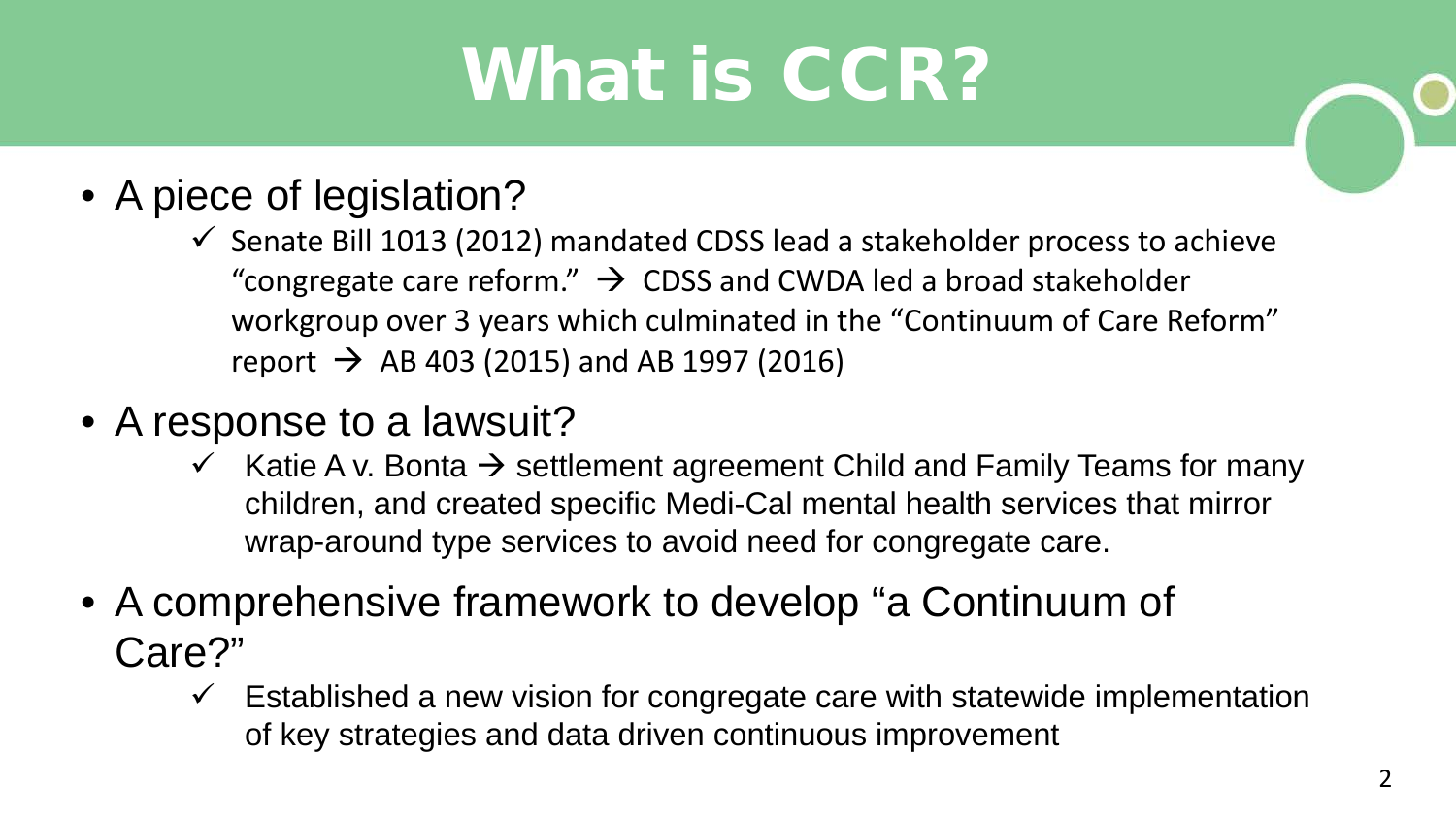# What is CCR?

- A piece of legislation?
	- $\checkmark$  Senate Bill 1013 (2012) mandated CDSS lead a stakeholder process to achieve "congregate care reform."  $\rightarrow$  CDSS and CWDA led a broad stakeholder workgroup over 3 years which culminated in the "Continuum of Care Reform" report  $\rightarrow$  AB 403 (2015) and AB 1997 (2016)
- A response to a lawsuit?
	- $\checkmark$  Katie A v. Bonta  $\hat{\to}$  settlement agreement Child and Family Teams for many children, and created specific Medi-Cal mental health services that mirror wrap-around type services to avoid need for congregate care.
- A comprehensive framework to develop "a Continuum of Care?"
	- Established a new vision for congregate care with statewide implementation of key strategies and data driven continuous improvement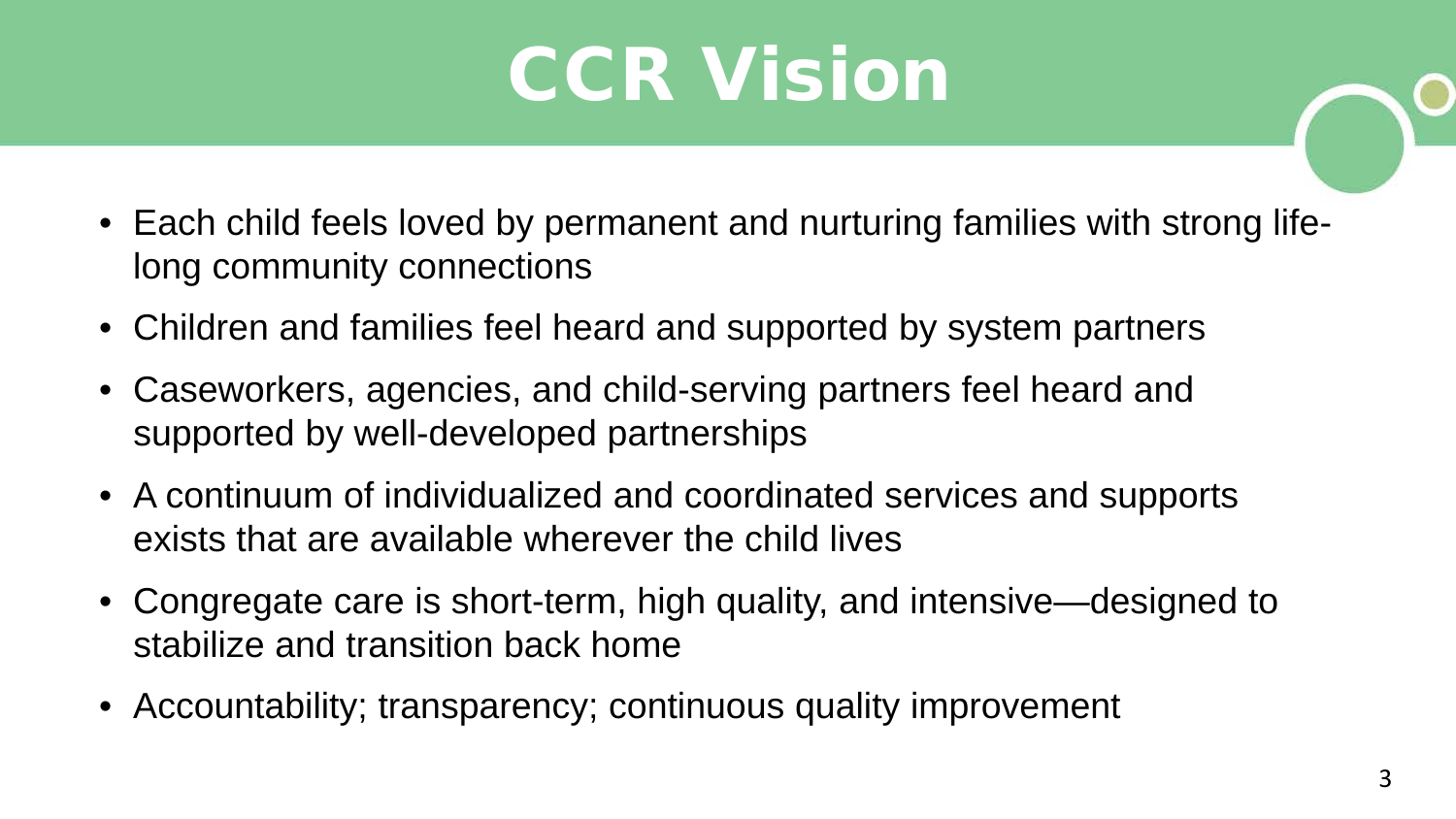## **CCR Vision**

- Each child feels loved by permanent and nurturing families with strong lifelong community connections
- Children and families feel heard and supported by system partners
- Caseworkers, agencies, and child-serving partners feel heard and supported by well-developed partnerships
- A continuum of individualized and coordinated services and supports exists that are available wherever the child lives
- Congregate care is short-term, high quality, and intensive—designed to stabilize and transition back home
- Accountability; transparency; continuous quality improvement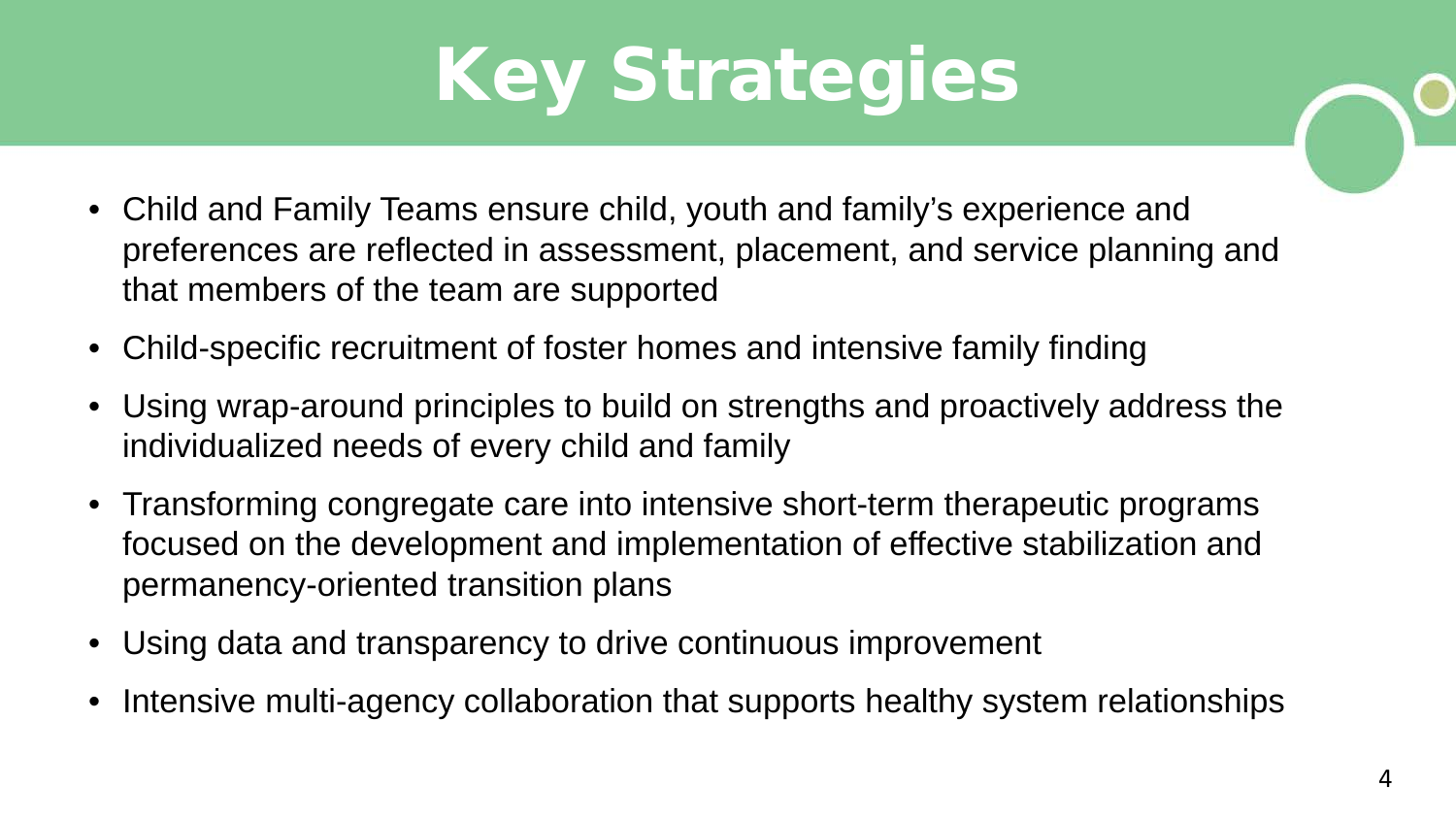# Key Strategies

- Child and Family Teams ensure child, youth and family's experience and preferences are reflected in assessment, placement, and service planning and that members of the team are supported
- Child-specific recruitment of foster homes and intensive family finding
- Using wrap-around principles to build on strengths and proactively address the individualized needs of every child and family
- Transforming congregate care into intensive short-term therapeutic programs focused on the development and implementation of effective stabilization and permanency-oriented transition plans
- Using data and transparency to drive continuous improvement
- Intensive multi-agency collaboration that supports healthy system relationships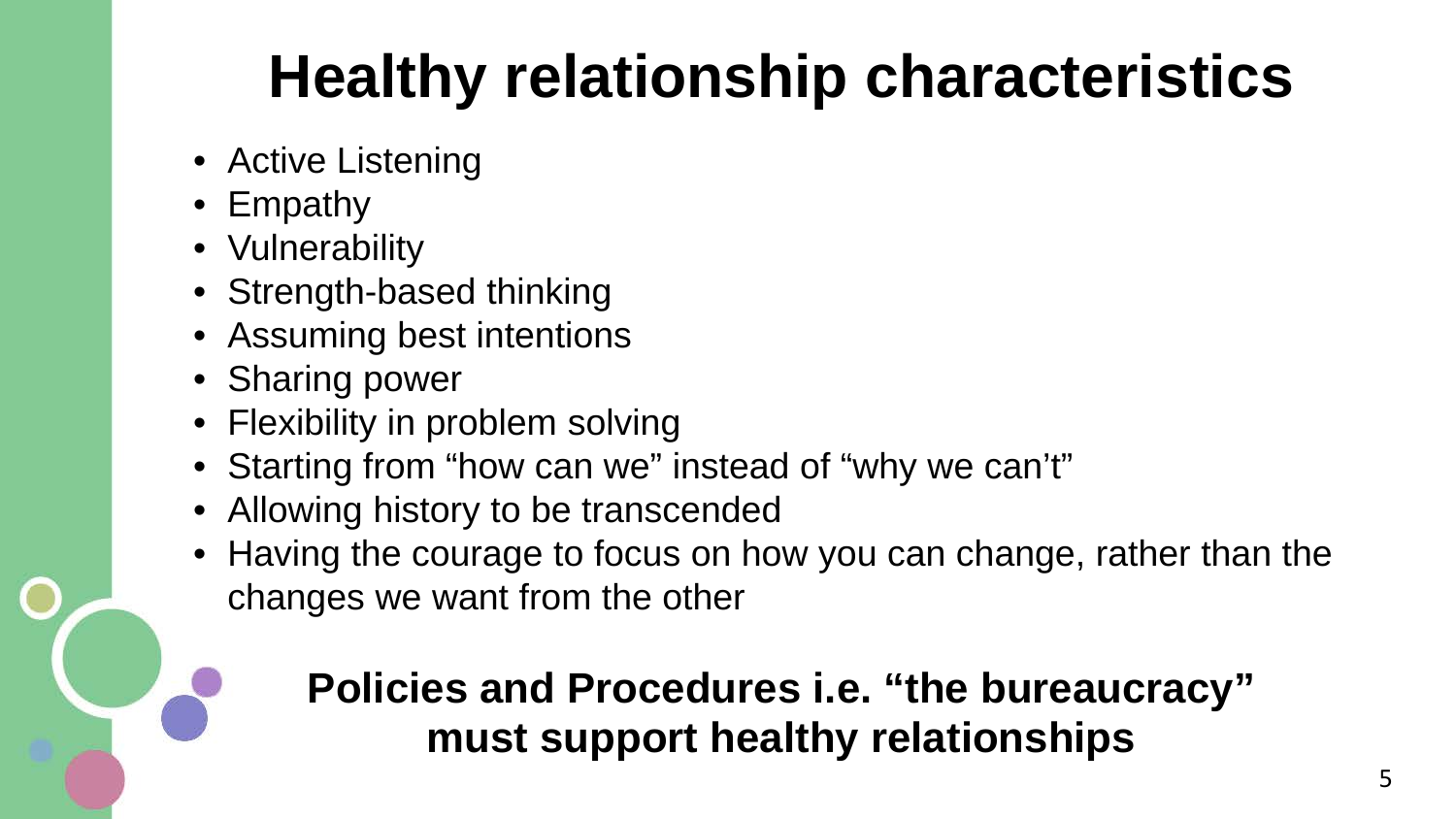#### **Healthy relationship characteristics**

- Active Listening
- Empathy
- Vulnerability
- Strength-based thinking
- Assuming best intentions
- Sharing power
- Flexibility in problem solving
- Starting from "how can we" instead of "why we can't"
- Allowing history to be transcended
- Having the courage to focus on how you can change, rather than the changes we want from the other

#### **Policies and Procedures i.e. "the bureaucracy" must support healthy relationships**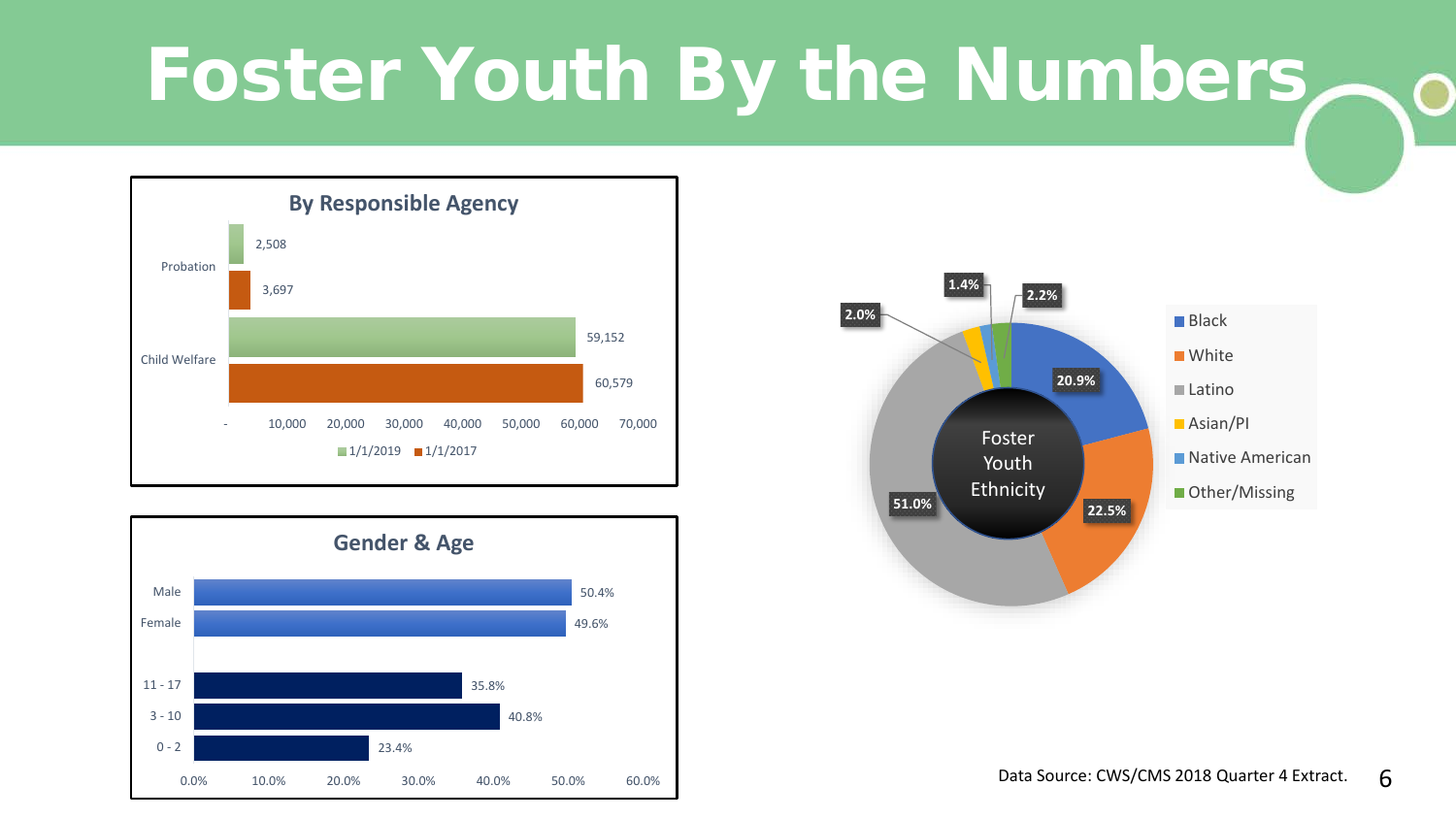#### Foster Youth By the Numbers  $\mathbf O$





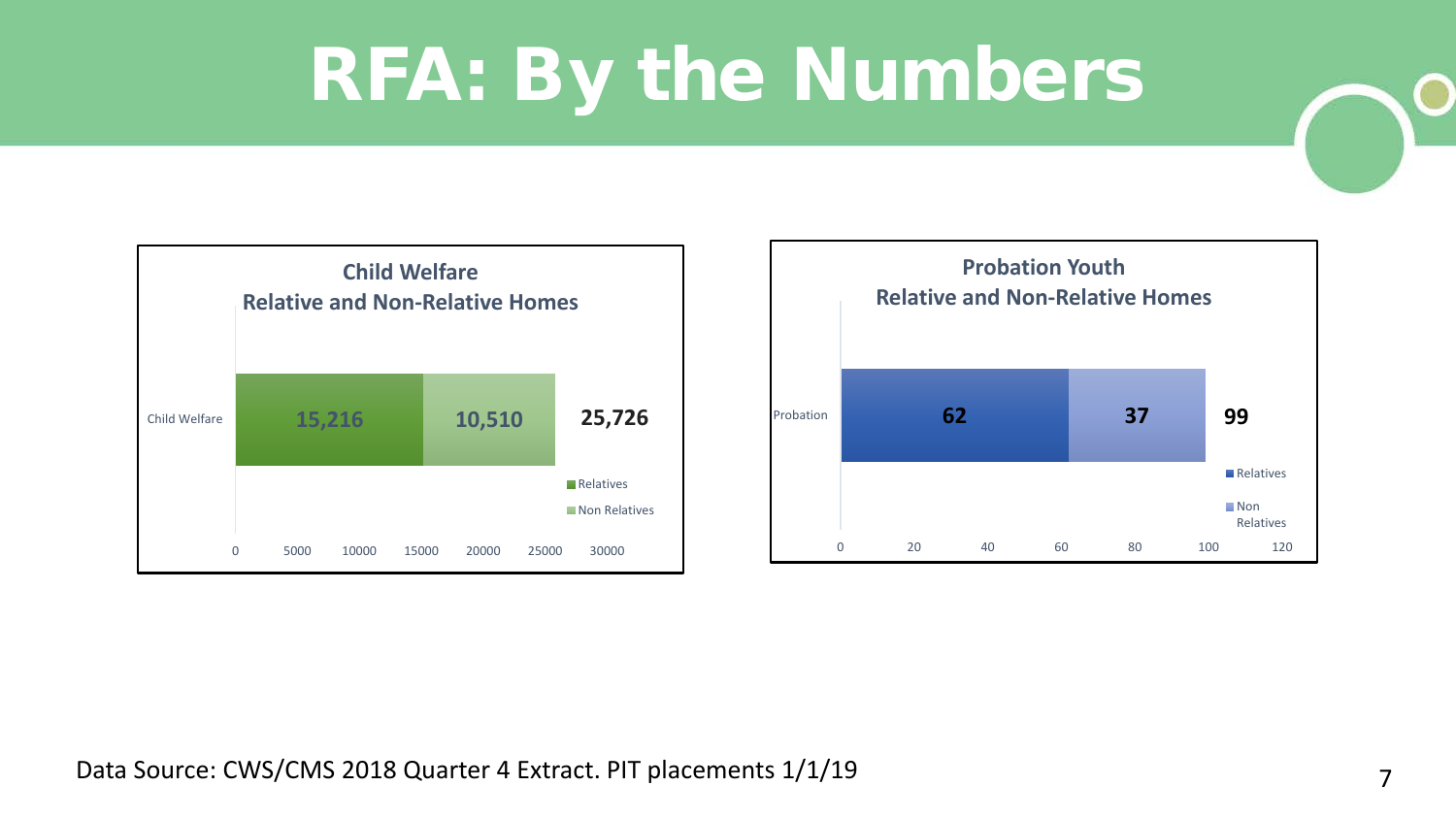## RFA: By the Numbers





7 Data Source: CWS/CMS 2018 Quarter 4 Extract. PIT placements 1/1/19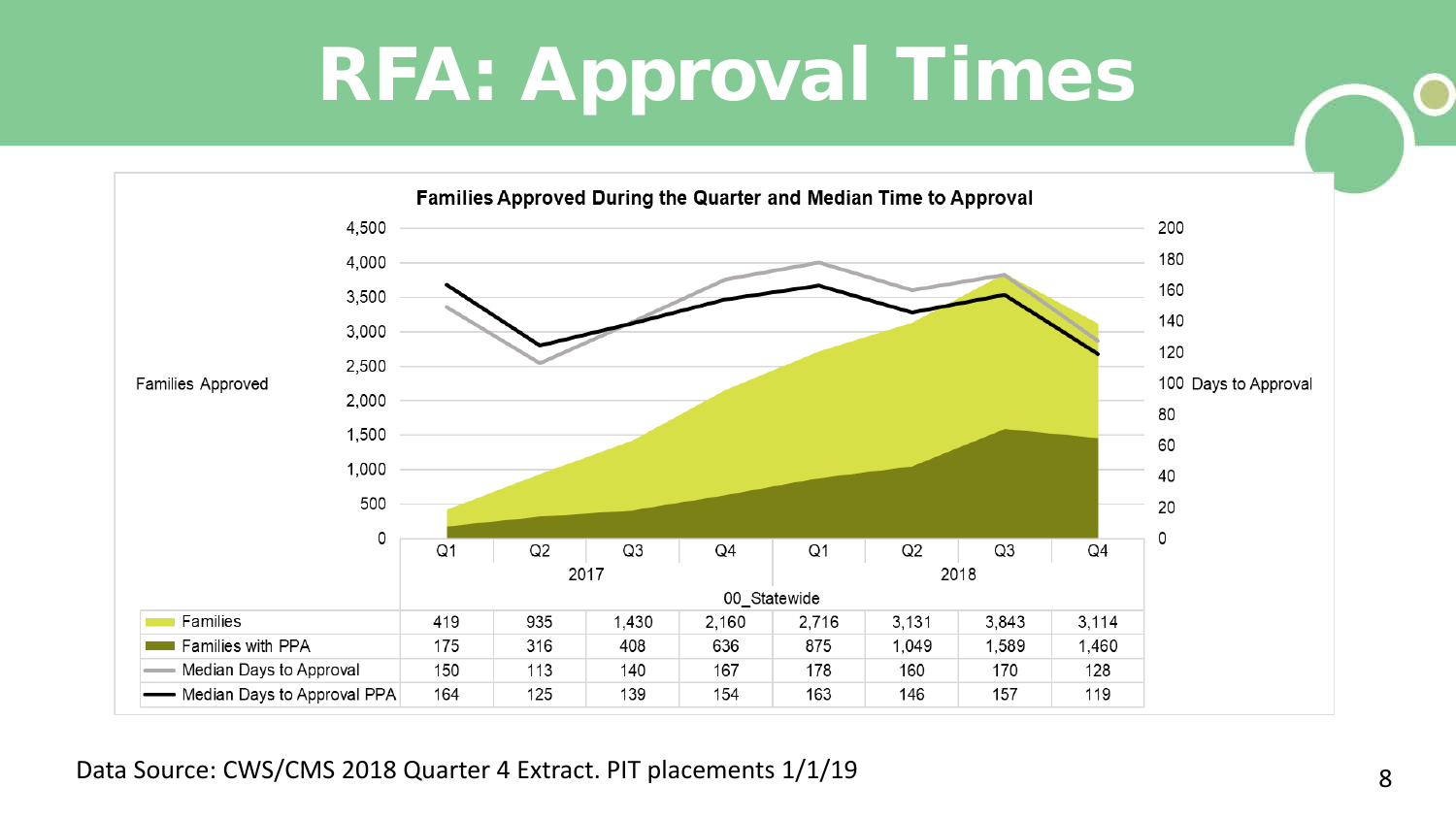### RFA: Approval Times



8 Data Source: CWS/CMS 2018 Quarter 4 Extract. PIT placements 1/1/19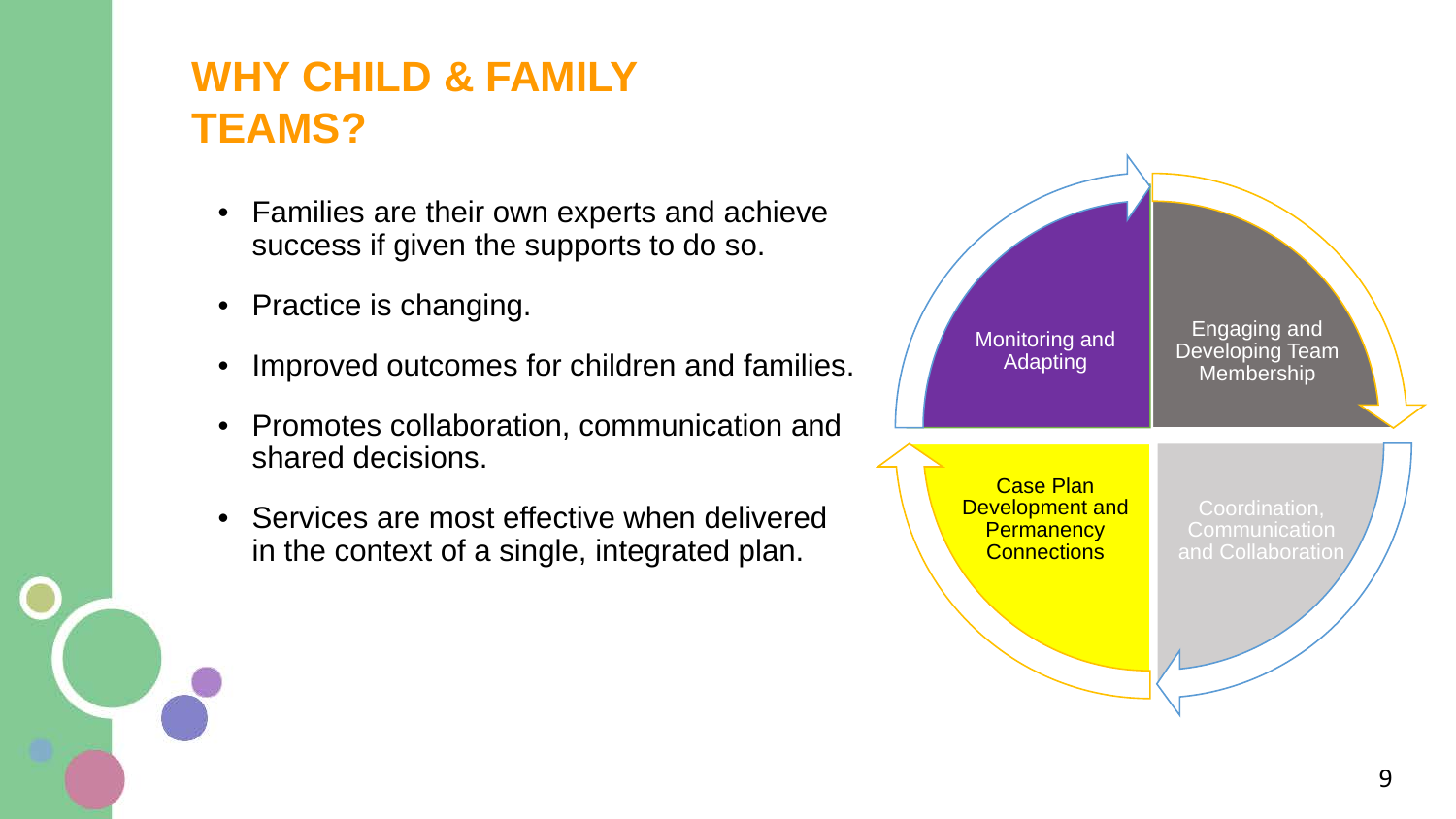#### **WHY CHILD & FAMILY TEAMS?**

- Families are their own experts and achieve success if given the supports to do so.
- Practice is changing.
- Improved outcomes for children and families.
- Promotes collaboration, communication and shared decisions.
- Services are most effective when delivered in the context of a single, integrated plan.

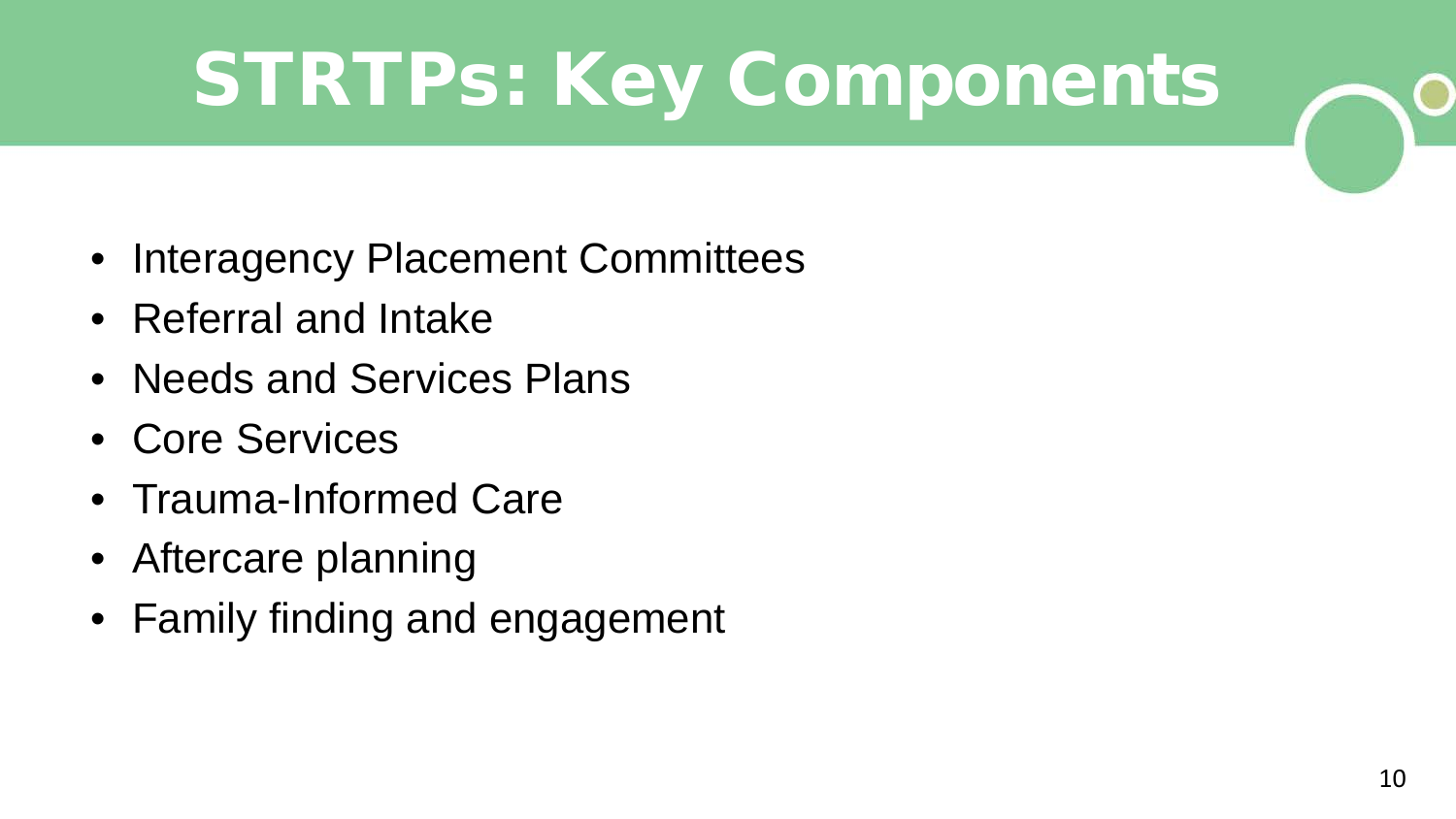# STRTPs: Key Components

- Interagency Placement Committees
- Referral and Intake
- Needs and Services Plans
- Core Services
- Trauma-Informed Care
- Aftercare planning
- Family finding and engagement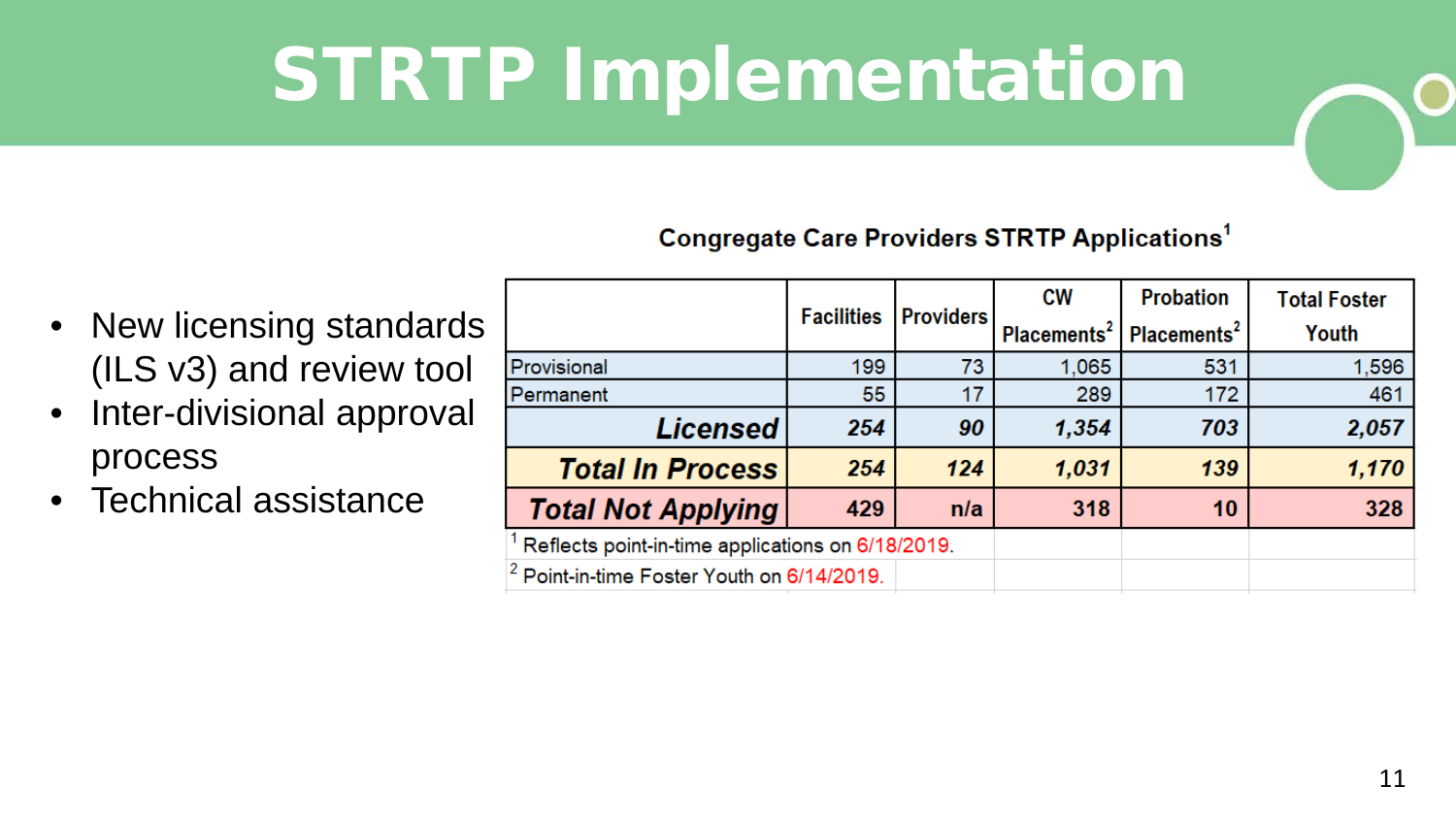# STRTP Implementation

#### **Congregate Care Providers STRTP Applications<sup>1</sup>**

- New licensing standards (ILS v3) and review tool
- Inter-divisional approval process
- Technical assistance

|                                                       | <b>Facilities</b> | <b>Providers</b> | <b>CW</b>               | <b>Probation</b>        | <b>Total Foster</b> |
|-------------------------------------------------------|-------------------|------------------|-------------------------|-------------------------|---------------------|
|                                                       |                   |                  | Placements <sup>2</sup> | Placements <sup>2</sup> | Youth               |
| Provisional                                           | 199               | 73               | 1,065                   | 531                     | 1,596               |
| Permanent                                             | 55                | 17               | 289                     | 172                     | 461                 |
| <b>Licensed</b>                                       | 254               | 90               | 1,354                   | 703                     | 2,057               |
| <b>Total In Process</b>                               | 254               | 124              | 1,031                   | 139                     | 1,170               |
| <b>Total Not Applying</b>                             | 429               | n/a              | 318                     | 10                      | 328                 |
| Reflects point-in-time applications on 6/18/2019.     |                   |                  |                         |                         |                     |
| <sup>2</sup> Point-in-time Foster Youth on 6/14/2019. |                   |                  |                         |                         |                     |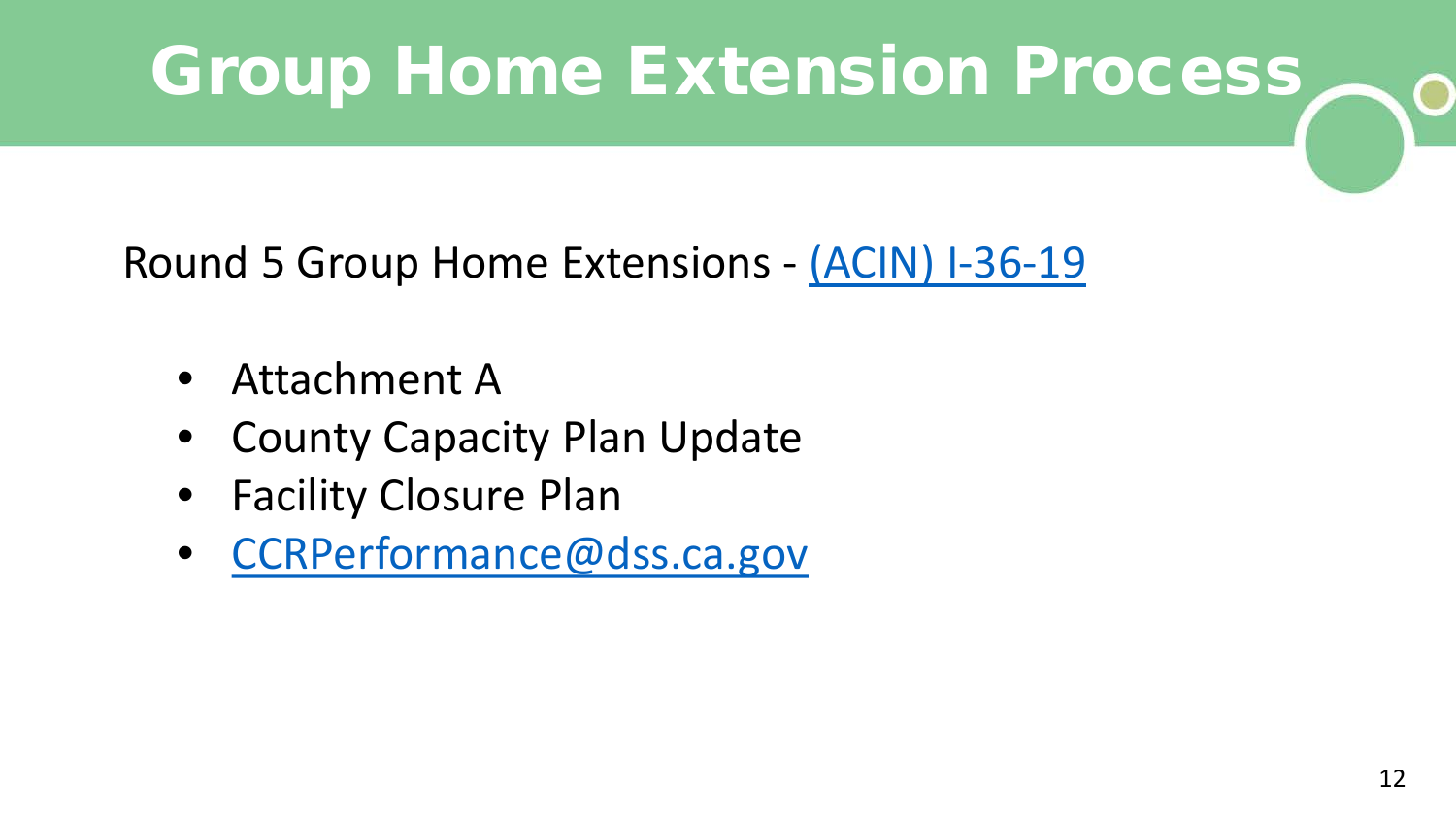#### Group Home Extension Process

Round 5 Group Home Extensions - [\(ACIN\) I-36-19](http://www.cdss.ca.gov/Portals/9/ACIN/2019/I-36_19.pdf?ver=2019-05-24-081219-257)

- Attachment A
- **County Capacity Plan Update**
- Facility Closure Plan
- [CCRPerformance@dss.ca.gov](mailto:CCRPerformance@dss.ca.gov)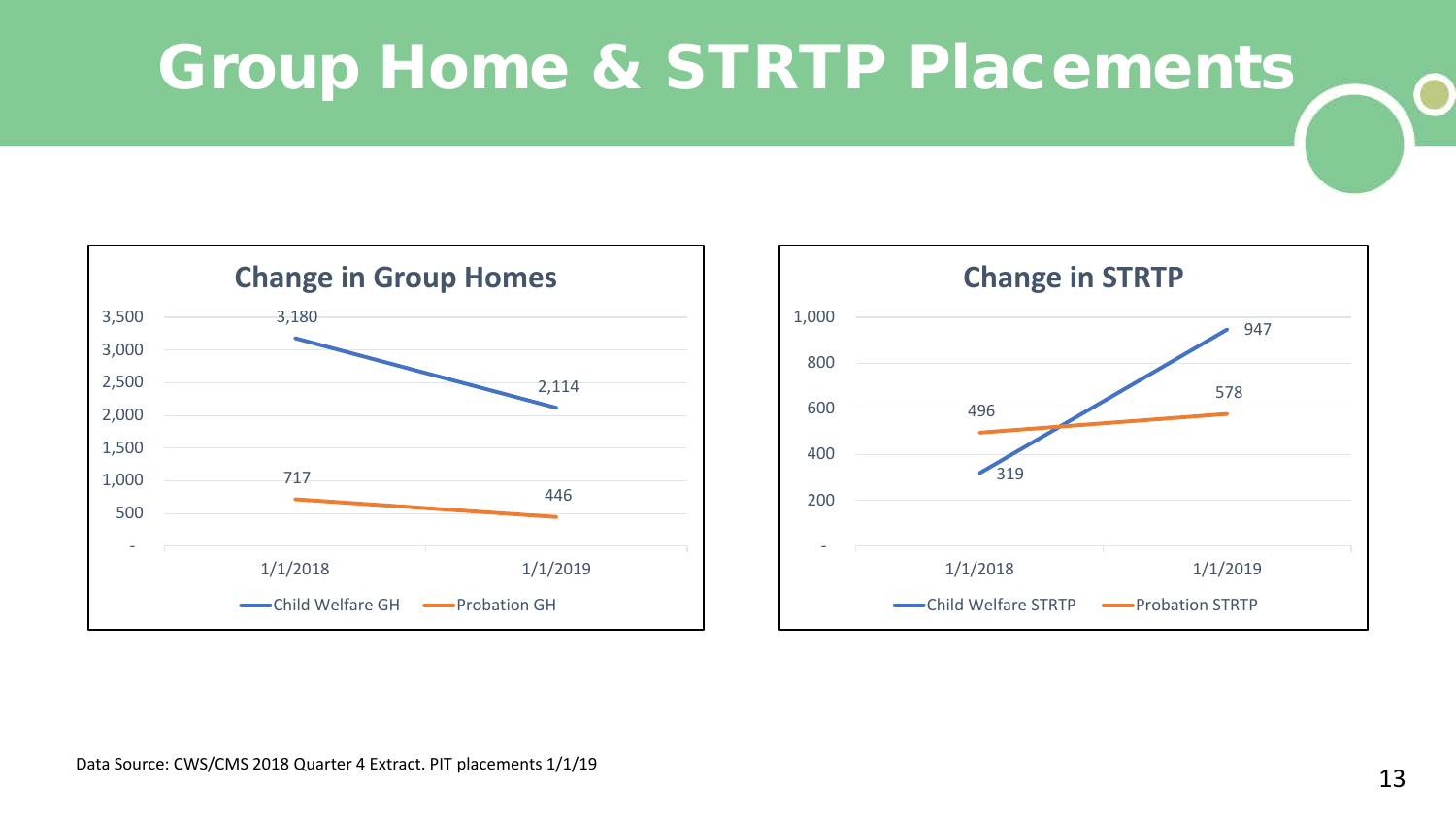#### Group Home & STRTP Placements



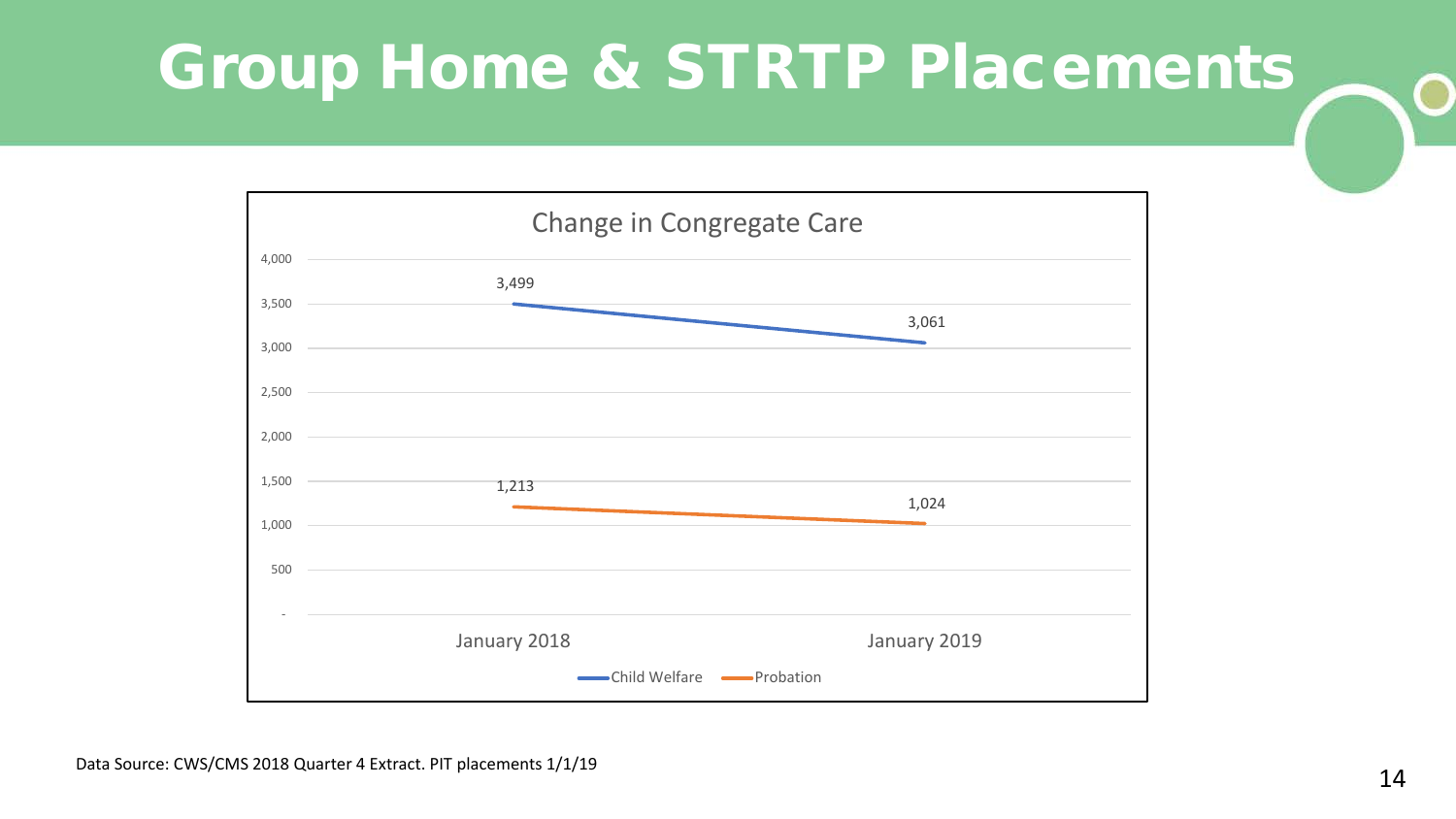#### Group Home & STRTP Placements

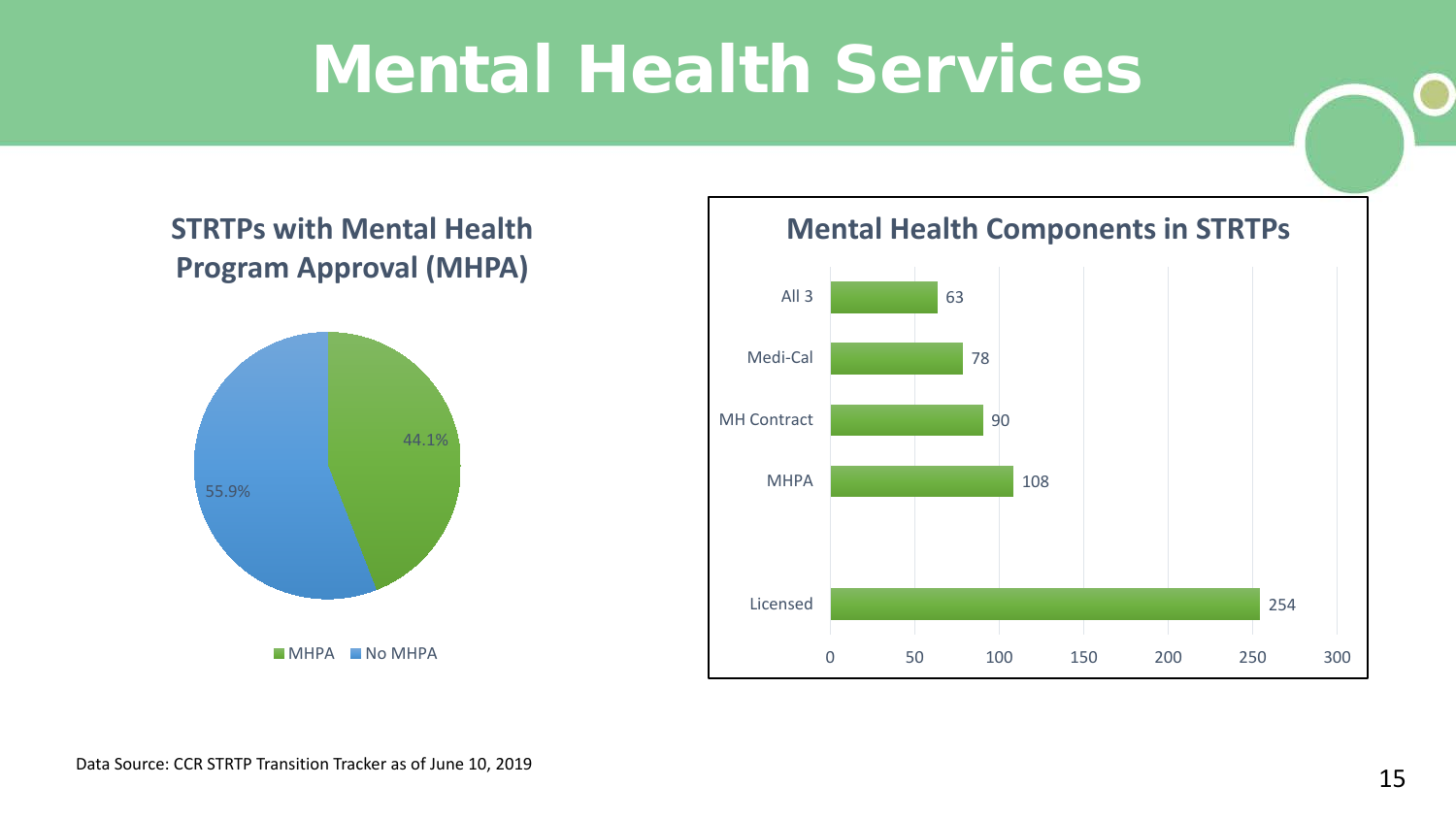#### Mental Health Services

#### **STRTPs with Mental Health Program Approval (MHPA)**



**Mental Health Components in STRTPs**